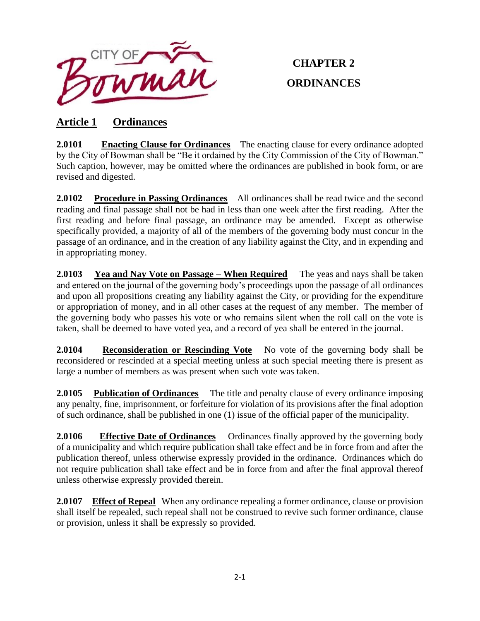

# **CHAPTER 2 ORDINANCES**

## **Article 1 Ordinances**

**2.0101 Enacting Clause for Ordinances** The enacting clause for every ordinance adopted by the City of Bowman shall be "Be it ordained by the City Commission of the City of Bowman." Such caption, however, may be omitted where the ordinances are published in book form, or are revised and digested.

**2.0102 Procedure in Passing Ordinances** All ordinances shall be read twice and the second reading and final passage shall not be had in less than one week after the first reading. After the first reading and before final passage, an ordinance may be amended. Except as otherwise specifically provided, a majority of all of the members of the governing body must concur in the passage of an ordinance, and in the creation of any liability against the City, and in expending and in appropriating money.

**2.0103 Yea and Nay Vote on Passage – When Required** The yeas and nays shall be taken and entered on the journal of the governing body's proceedings upon the passage of all ordinances and upon all propositions creating any liability against the City, or providing for the expenditure or appropriation of money, and in all other cases at the request of any member. The member of the governing body who passes his vote or who remains silent when the roll call on the vote is taken, shall be deemed to have voted yea, and a record of yea shall be entered in the journal.

**2.0104 Reconsideration or Rescinding Vote** No vote of the governing body shall be reconsidered or rescinded at a special meeting unless at such special meeting there is present as large a number of members as was present when such vote was taken.

**2.0105 Publication of Ordinances** The title and penalty clause of every ordinance imposing any penalty, fine, imprisonment, or forfeiture for violation of its provisions after the final adoption of such ordinance, shall be published in one (1) issue of the official paper of the municipality.

**2.0106** Effective Date of Ordinances Ordinances finally approved by the governing body of a municipality and which require publication shall take effect and be in force from and after the publication thereof, unless otherwise expressly provided in the ordinance. Ordinances which do not require publication shall take effect and be in force from and after the final approval thereof unless otherwise expressly provided therein.

2.0107 Effect of Repeal When any ordinance repealing a former ordinance, clause or provision shall itself be repealed, such repeal shall not be construed to revive such former ordinance, clause or provision, unless it shall be expressly so provided.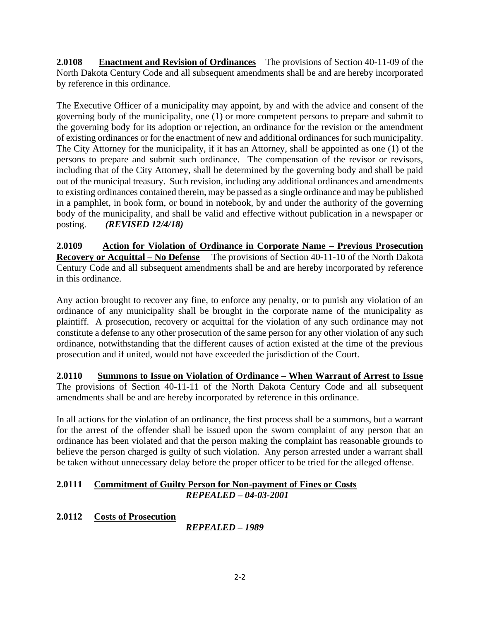**2.0108 Enactment and Revision of Ordinances** The provisions of Section 40-11-09 of the North Dakota Century Code and all subsequent amendments shall be and are hereby incorporated by reference in this ordinance.

The Executive Officer of a municipality may appoint, by and with the advice and consent of the governing body of the municipality, one (1) or more competent persons to prepare and submit to the governing body for its adoption or rejection, an ordinance for the revision or the amendment of existing ordinances or for the enactment of new and additional ordinances for such municipality. The City Attorney for the municipality, if it has an Attorney, shall be appointed as one (1) of the persons to prepare and submit such ordinance. The compensation of the revisor or revisors, including that of the City Attorney, shall be determined by the governing body and shall be paid out of the municipal treasury. Such revision, including any additional ordinances and amendments to existing ordinances contained therein, may be passed as a single ordinance and may be published in a pamphlet, in book form, or bound in notebook, by and under the authority of the governing body of the municipality, and shall be valid and effective without publication in a newspaper or posting. *(REVISED 12/4/18)*

**2.0109 Action for Violation of Ordinance in Corporate Name – Previous Prosecution Recovery or Acquittal – No Defense** The provisions of Section 40-11-10 of the North Dakota Century Code and all subsequent amendments shall be and are hereby incorporated by reference in this ordinance.

Any action brought to recover any fine, to enforce any penalty, or to punish any violation of an ordinance of any municipality shall be brought in the corporate name of the municipality as plaintiff. A prosecution, recovery or acquittal for the violation of any such ordinance may not constitute a defense to any other prosecution of the same person for any other violation of any such ordinance, notwithstanding that the different causes of action existed at the time of the previous prosecution and if united, would not have exceeded the jurisdiction of the Court.

**2.0110 Summons to Issue on Violation of Ordinance – When Warrant of Arrest to Issue** The provisions of Section 40-11-11 of the North Dakota Century Code and all subsequent amendments shall be and are hereby incorporated by reference in this ordinance.

In all actions for the violation of an ordinance, the first process shall be a summons, but a warrant for the arrest of the offender shall be issued upon the sworn complaint of any person that an ordinance has been violated and that the person making the complaint has reasonable grounds to believe the person charged is guilty of such violation. Any person arrested under a warrant shall be taken without unnecessary delay before the proper officer to be tried for the alleged offense.

### **2.0111 Commitment of Guilty Person for Non-payment of Fines or Costs**  *REPEALED – 04-03-2001*

**2.0112 Costs of Prosecution**

*REPEALED – 1989*